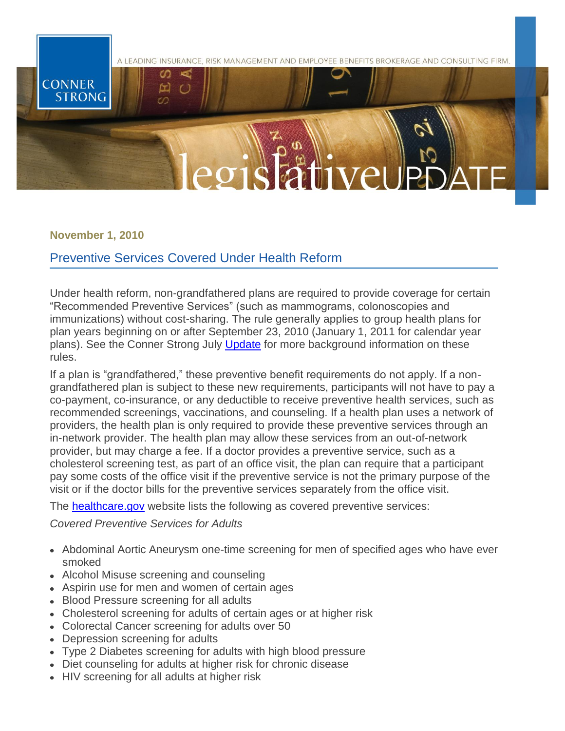

**November 1, 2010**

## Preventive Services Covered Under Health Reform

Under health reform, non-grandfathered plans are required to provide coverage for certain "Recommended Preventive Services" (such as mammograms, colonoscopies and immunizations) without cost-sharing. The rule generally applies to group health plans for plan years beginning on or after September 23, 2010 (January 1, 2011 for calendar year plans). See the Conner Strong July [Update](http://www.connerstrong.com/resources/site1/news/Preventative%20Care%20Regulations%20Released.pdf) for more background information on these rules.

If a plan is "grandfathered," these preventive benefit requirements do not apply. If a nongrandfathered plan is subject to these new requirements, participants will not have to pay a co-payment, co-insurance, or any deductible to receive preventive health services, such as recommended screenings, vaccinations, and counseling. If a health plan uses a network of providers, the health plan is only required to provide these preventive services through an in-network provider. The health plan may allow these services from an out-of-network provider, but may charge a fee. If a doctor provides a preventive service, such as a cholesterol screening test, as part of an office visit, the plan can require that a participant pay some costs of the office visit if the preventive service is not the primary purpose of the visit or if the doctor bills for the preventive services separately from the office visit.

The **healthcare.gov** website lists the following as covered preventive services:

*Covered Preventive Services for Adults*

- Abdominal Aortic Aneurysm one-time screening for men of specified ages who have ever smoked
- Alcohol Misuse screening and counseling
- Aspirin use for men and women of certain ages
- Blood Pressure screening for all adults
- Cholesterol screening for adults of certain ages or at higher risk
- Colorectal Cancer screening for adults over 50
- Depression screening for adults
- Type 2 Diabetes screening for adults with high blood pressure
- Diet counseling for adults at higher risk for chronic disease
- HIV screening for all adults at higher risk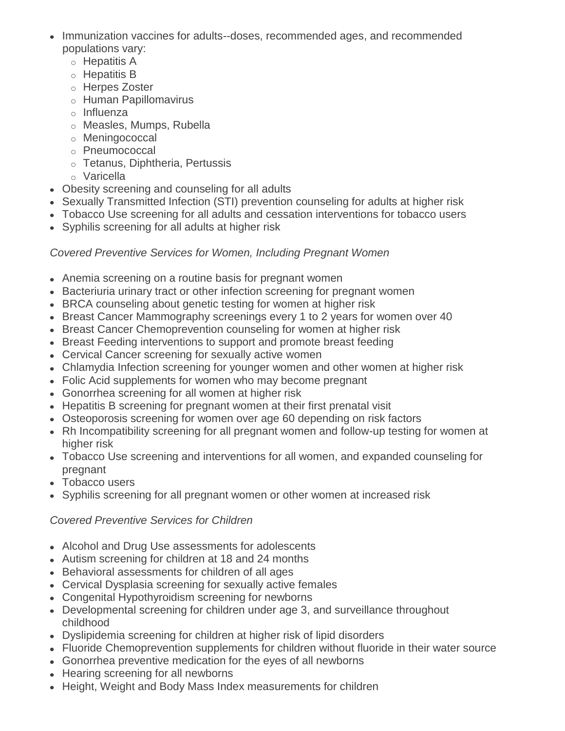- Immunization vaccines for adults--doses, recommended ages, and recommended populations vary:
	- o Hepatitis A
	- o Hepatitis B
	- o Herpes Zoster
	- o Human Papillomavirus
	- o Influenza
	- o Measles, Mumps, Rubella
	- o Meningococcal
	- o Pneumococcal
	- o Tetanus, Diphtheria, Pertussis
	- o Varicella
- Obesity screening and counseling for all adults
- Sexually Transmitted Infection (STI) prevention counseling for adults at higher risk
- Tobacco Use screening for all adults and cessation interventions for tobacco users
- Syphilis screening for all adults at higher risk

## *Covered Preventive Services for Women, Including Pregnant Women*

- Anemia screening on a routine basis for pregnant women
- Bacteriuria urinary tract or other infection screening for pregnant women
- BRCA counseling about genetic testing for women at higher risk
- Breast Cancer Mammography screenings every 1 to 2 years for women over 40
- Breast Cancer Chemoprevention counseling for women at higher risk
- Breast Feeding interventions to support and promote breast feeding
- Cervical Cancer screening for sexually active women
- Chlamydia Infection screening for younger women and other women at higher risk
- Folic Acid supplements for women who may become pregnant
- Gonorrhea screening for all women at higher risk
- Hepatitis B screening for pregnant women at their first prenatal visit
- Osteoporosis screening for women over age 60 depending on risk factors
- Rh Incompatibility screening for all pregnant women and follow-up testing for women at higher risk
- Tobacco Use screening and interventions for all women, and expanded counseling for pregnant
- Tobacco users
- Syphilis screening for all pregnant women or other women at increased risk

## *Covered Preventive Services for Children*

- Alcohol and Drug Use assessments for adolescents
- Autism screening for children at 18 and 24 months
- Behavioral assessments for children of all ages
- Cervical Dysplasia screening for sexually active females
- Congenital Hypothyroidism screening for newborns
- Developmental screening for children under age 3, and surveillance throughout childhood
- Dyslipidemia screening for children at higher risk of lipid disorders
- Fluoride Chemoprevention supplements for children without fluoride in their water source
- Gonorrhea preventive medication for the eyes of all newborns
- Hearing screening for all newborns
- Height, Weight and Body Mass Index measurements for children